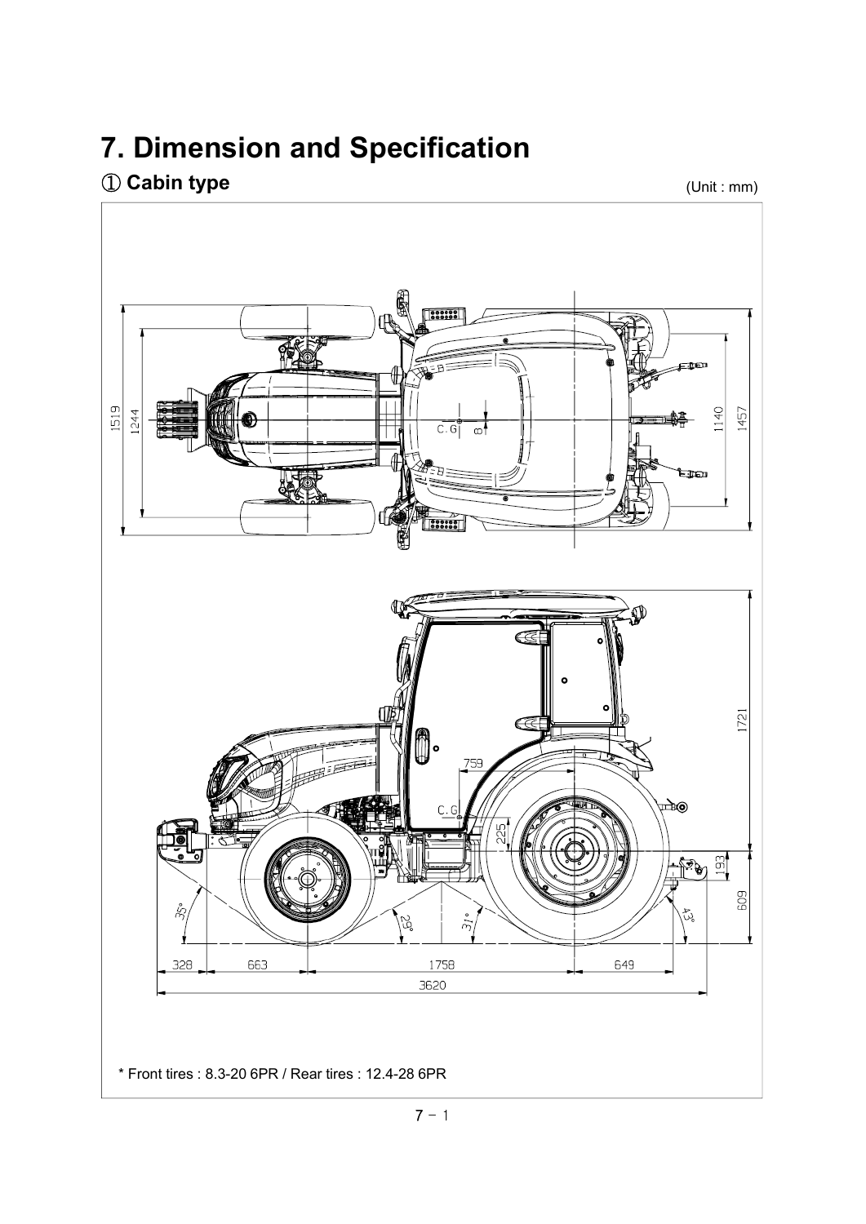## **7. Dimension and Specification**

## ① **Cabin type**

(Unit : mm)

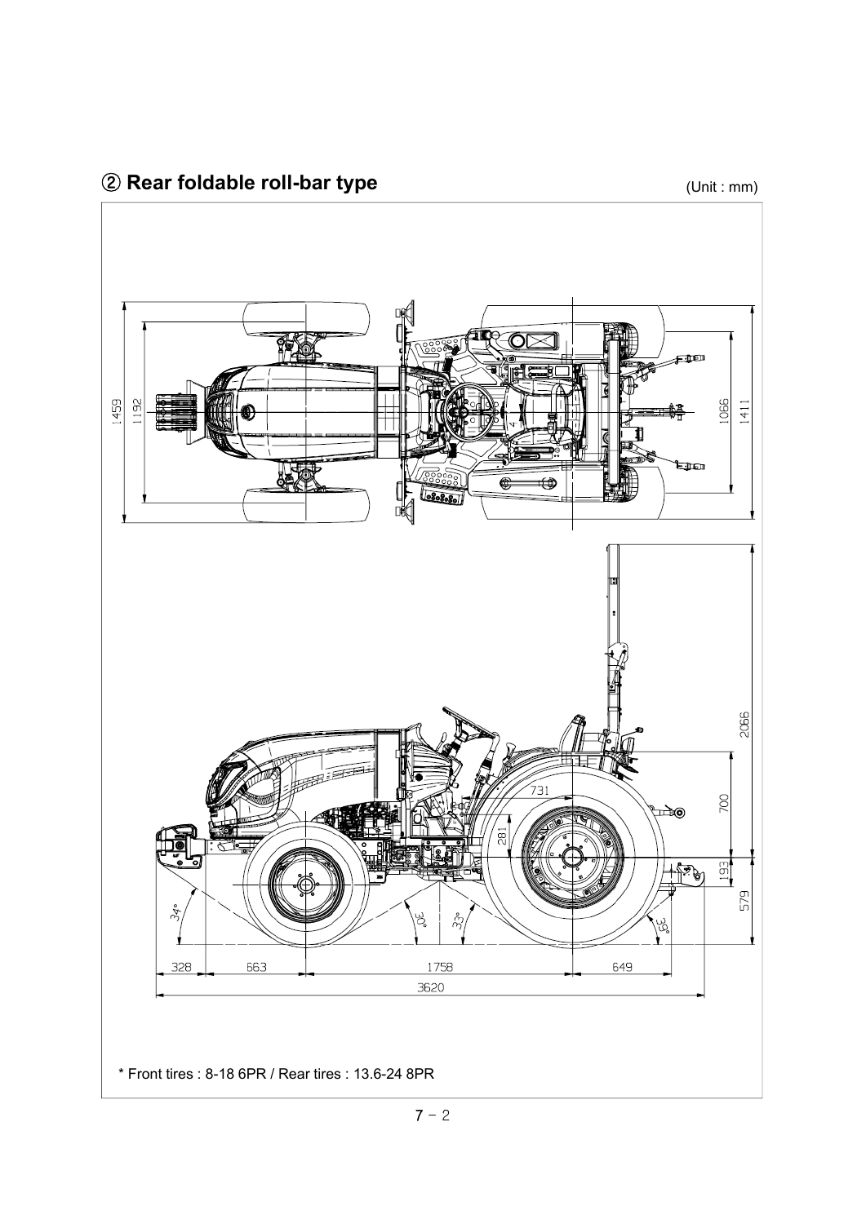(Unit : mm)

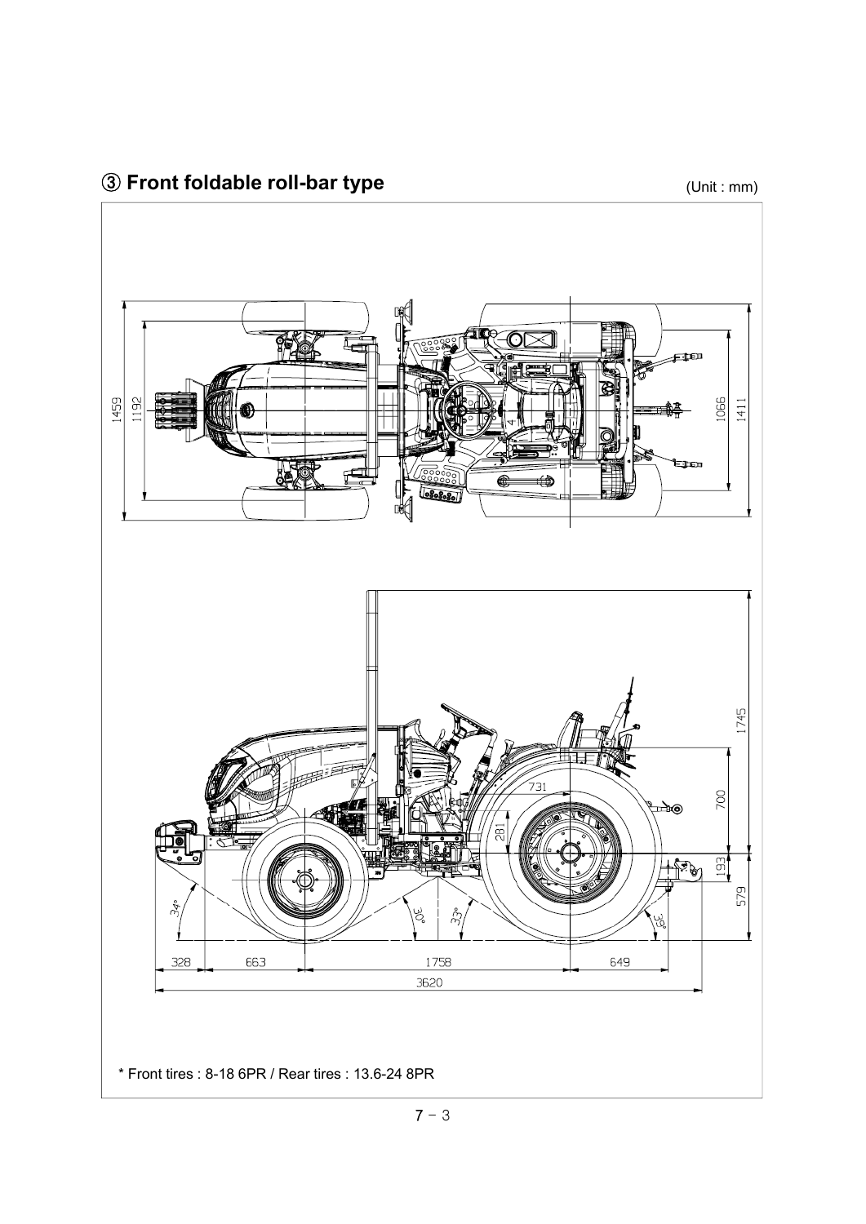(Unit : mm)

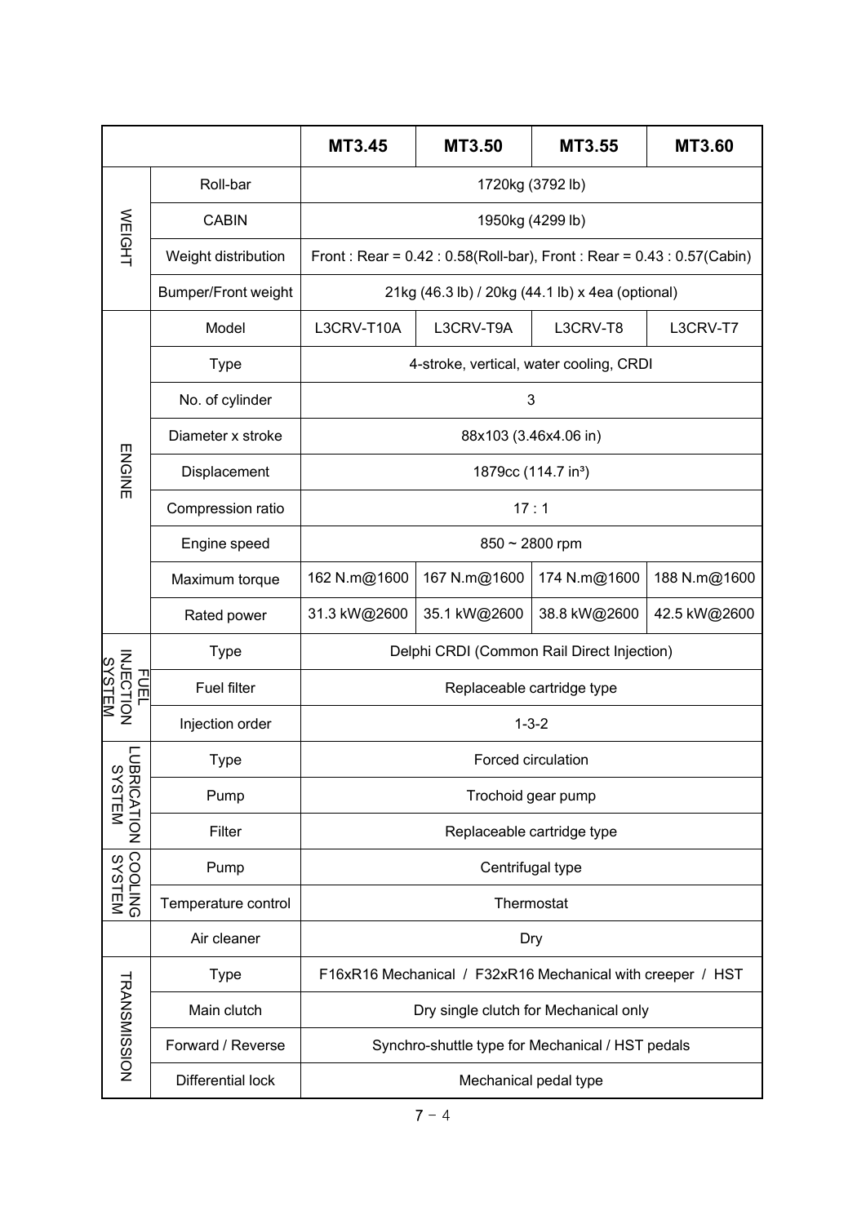|                                        |                            | <b>MT3.45</b>                                                                   | MT3.50       | MT3.55       | <b>MT3.60</b> |  |
|----------------------------------------|----------------------------|---------------------------------------------------------------------------------|--------------|--------------|---------------|--|
| <b>WEIGHT</b>                          | Roll-bar                   | 1720kg (3792 lb)                                                                |              |              |               |  |
|                                        | <b>CABIN</b>               | 1950kg (4299 lb)                                                                |              |              |               |  |
|                                        | Weight distribution        | Front: Rear = $0.42$ : $0.58$ (Roll-bar), Front: Rear = $0.43$ : $0.57$ (Cabin) |              |              |               |  |
|                                        | <b>Bumper/Front weight</b> | 21kg (46.3 lb) / 20kg (44.1 lb) x 4ea (optional)                                |              |              |               |  |
|                                        | Model                      | L3CRV-T10A                                                                      | L3CRV-T9A    | L3CRV-T8     | L3CRV-T7      |  |
|                                        | <b>Type</b>                | 4-stroke, vertical, water cooling, CRDI                                         |              |              |               |  |
|                                        | No. of cylinder            | 3                                                                               |              |              |               |  |
| <b>ENGINE</b>                          | Diameter x stroke          | 88x103 (3.46x4.06 in)                                                           |              |              |               |  |
|                                        | Displacement               | 1879cc (114.7 in <sup>3</sup> )                                                 |              |              |               |  |
|                                        | Compression ratio          | 17:1                                                                            |              |              |               |  |
|                                        | Engine speed               | $850 \sim 2800$ rpm                                                             |              |              |               |  |
|                                        | Maximum torque             | 162 N.m@1600                                                                    | 167 N.m@1600 | 174 N.m@1600 | 188 N.m@1600  |  |
|                                        | Rated power                | 31.3 kW@2600                                                                    | 35.1 kW@2600 | 38.8 kW@2600 | 42.5 kW@2600  |  |
| INECT<br>TOECT<br>ᆩ<br>듬<br><u>TEM</u> | <b>Type</b>                | Delphi CRDI (Common Rail Direct Injection)                                      |              |              |               |  |
|                                        | Fuel filter                | Replaceable cartridge type                                                      |              |              |               |  |
|                                        | Injection order            | $1 - 3 - 2$                                                                     |              |              |               |  |
| $\frac{1}{8}$                          | <b>Type</b>                | <b>Forced circulation</b>                                                       |              |              |               |  |
| <b>RICATION</b><br><b>YSTEM</b>        | Pump                       | Trochoid gear pump                                                              |              |              |               |  |
|                                        | Filter                     | Replaceable cartridge type                                                      |              |              |               |  |
|                                        | Pump                       | Centrifugal type                                                                |              |              |               |  |
| SYSTEM<br>SYSTEM                       | Temperature control        | Thermostat                                                                      |              |              |               |  |
|                                        | Air cleaner                | Dry                                                                             |              |              |               |  |
| <b>TRANSMISSION</b>                    | <b>Type</b>                | F16xR16 Mechanical / F32xR16 Mechanical with creeper / HST                      |              |              |               |  |
|                                        | Main clutch                | Dry single clutch for Mechanical only                                           |              |              |               |  |
|                                        | Forward / Reverse          | Synchro-shuttle type for Mechanical / HST pedals                                |              |              |               |  |
|                                        | Differential lock          | Mechanical pedal type                                                           |              |              |               |  |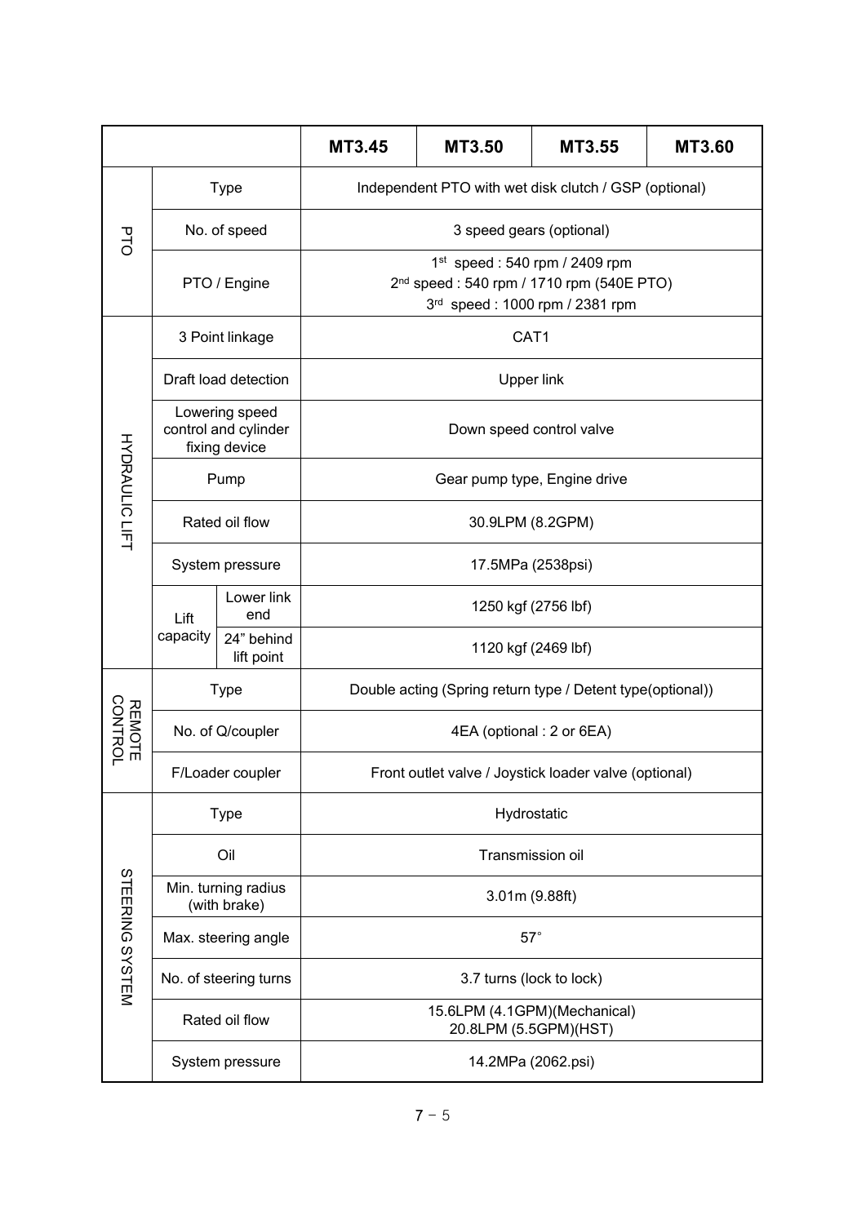|                       |                                                         | <b>MT3.45</b>            | MT3.50                                                                                                                     | <b>MT3.55</b>       | <b>MT3.60</b> |  |  |
|-----------------------|---------------------------------------------------------|--------------------------|----------------------------------------------------------------------------------------------------------------------------|---------------------|---------------|--|--|
| PTC                   | <b>Type</b>                                             |                          | Independent PTO with wet disk clutch / GSP (optional)                                                                      |                     |               |  |  |
|                       |                                                         | No. of speed             | 3 speed gears (optional)                                                                                                   |                     |               |  |  |
|                       | PTO / Engine                                            |                          | $1st$ speed : 540 rpm / 2409 rpm<br>2 <sup>nd</sup> speed: 540 rpm / 1710 rpm (540E PTO)<br>3rd speed: 1000 rpm / 2381 rpm |                     |               |  |  |
| <b>HYDRAULIC LIFT</b> | 3 Point linkage                                         |                          | CAT1                                                                                                                       |                     |               |  |  |
|                       | Draft load detection                                    |                          | <b>Upper link</b>                                                                                                          |                     |               |  |  |
|                       | Lowering speed<br>control and cylinder<br>fixing device |                          | Down speed control valve                                                                                                   |                     |               |  |  |
|                       |                                                         | Pump                     | Gear pump type, Engine drive                                                                                               |                     |               |  |  |
|                       | Rated oil flow                                          |                          | 30.9LPM (8.2GPM)                                                                                                           |                     |               |  |  |
|                       | System pressure                                         |                          | 17.5MPa (2538psi)                                                                                                          |                     |               |  |  |
|                       | Lift                                                    | Lower link<br>end        | 1250 kgf (2756 lbf)                                                                                                        |                     |               |  |  |
|                       | capacity                                                | 24" behind<br>lift point |                                                                                                                            | 1120 kgf (2469 lbf) |               |  |  |
|                       | <b>Type</b>                                             |                          | Double acting (Spring return type / Detent type(optional))                                                                 |                     |               |  |  |
| REMOTE<br>CONTROL     | No. of Q/coupler                                        |                          | 4EA (optional : 2 or 6EA)                                                                                                  |                     |               |  |  |
|                       | F/Loader coupler                                        |                          | Front outlet valve / Joystick loader valve (optional)                                                                      |                     |               |  |  |
|                       | <b>Type</b>                                             |                          | Hydrostatic                                                                                                                |                     |               |  |  |
|                       | Oil                                                     |                          | Transmission oil                                                                                                           |                     |               |  |  |
|                       | Min. turning radius<br>(with brake)                     |                          | 3.01m (9.88ft)                                                                                                             |                     |               |  |  |
|                       | Max. steering angle                                     |                          | $57^\circ$                                                                                                                 |                     |               |  |  |
| STEERING SYSTEM       | No. of steering turns                                   |                          | 3.7 turns (lock to lock)                                                                                                   |                     |               |  |  |
|                       | Rated oil flow                                          |                          | 15.6LPM (4.1GPM)(Mechanical)<br>20.8LPM (5.5GPM)(HST)                                                                      |                     |               |  |  |
|                       | System pressure                                         |                          | 14.2MPa (2062.psi)                                                                                                         |                     |               |  |  |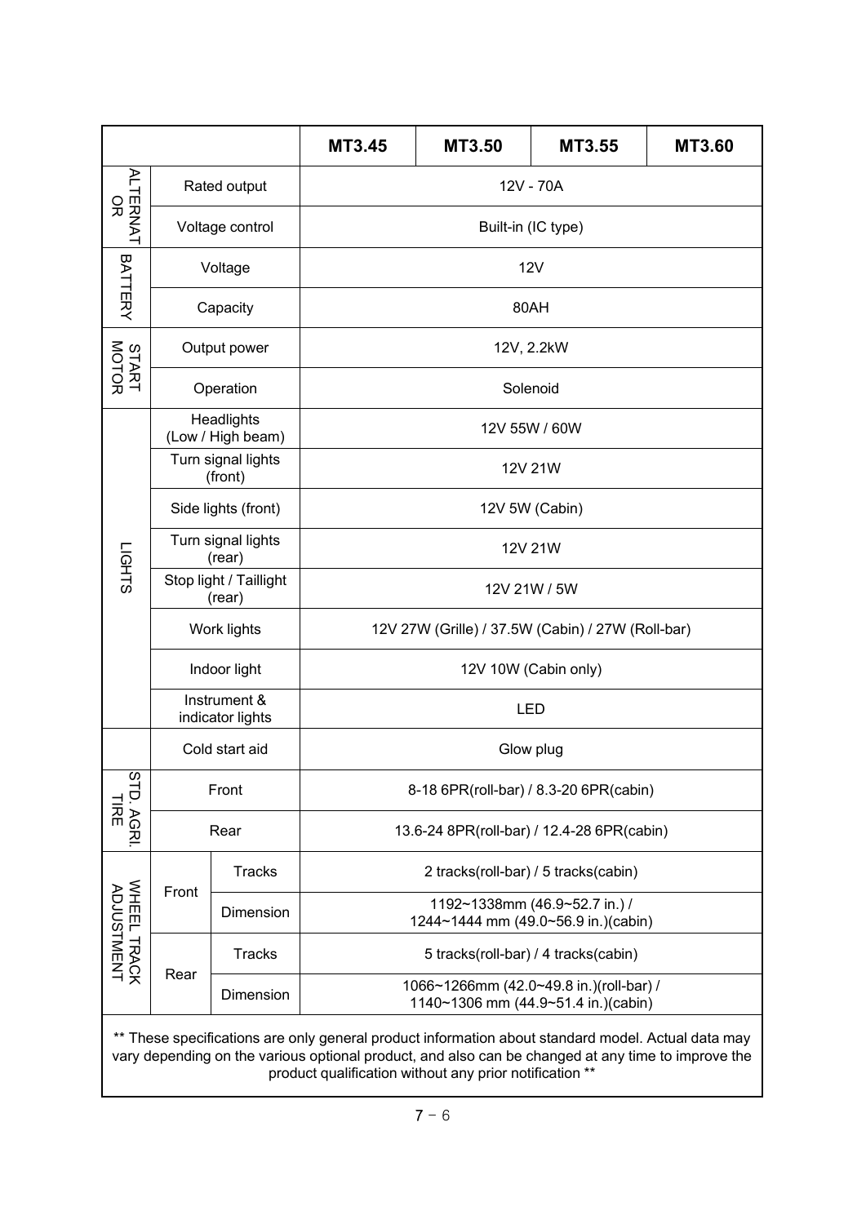|                                                                                                    |                                  | <b>MT3.45</b>                   | MT3.50                                                                         | MT3.55 | <b>MT3.60</b> |  |
|----------------------------------------------------------------------------------------------------|----------------------------------|---------------------------------|--------------------------------------------------------------------------------|--------|---------------|--|
| <b>ALTERNAT</b><br>읐                                                                               |                                  | Rated output                    | 12V - 70A                                                                      |        |               |  |
|                                                                                                    |                                  | Voltage control                 | Built-in (IC type)                                                             |        |               |  |
| BATTERY                                                                                            |                                  | Voltage                         | <b>12V</b>                                                                     |        |               |  |
|                                                                                                    |                                  | Capacity                        | 80AH                                                                           |        |               |  |
| START<br>MOTOR                                                                                     |                                  | Output power                    | 12V, 2.2kW                                                                     |        |               |  |
|                                                                                                    |                                  | Operation                       | Solenoid                                                                       |        |               |  |
|                                                                                                    |                                  | Headlights<br>(Low / High beam) | 12V 55W / 60W                                                                  |        |               |  |
|                                                                                                    |                                  | Turn signal lights<br>(front)   | 12V 21W                                                                        |        |               |  |
|                                                                                                    |                                  | Side lights (front)             | 12V 5W (Cabin)                                                                 |        |               |  |
|                                                                                                    | Turn signal lights<br>(rear)     |                                 | 12V 21W                                                                        |        |               |  |
| <b>LIGHTS</b>                                                                                      | Stop light / Taillight<br>(rear) |                                 | 12V 21W / 5W                                                                   |        |               |  |
|                                                                                                    | Work lights                      |                                 | 12V 27W (Grille) / 37.5W (Cabin) / 27W (Roll-bar)                              |        |               |  |
|                                                                                                    | Indoor light                     |                                 | 12V 10W (Cabin only)                                                           |        |               |  |
|                                                                                                    | Instrument &<br>indicator lights |                                 | <b>LED</b>                                                                     |        |               |  |
|                                                                                                    | Cold start aid                   |                                 | Glow plug                                                                      |        |               |  |
| STD<br>徽<br>AGRI.                                                                                  | Front                            |                                 | 8-18 6PR(roll-bar) / 8.3-20 6PR(cabin)                                         |        |               |  |
|                                                                                                    | Rear                             |                                 | 13.6-24 8PR(roll-bar) / 12.4-28 6PR(cabin)                                     |        |               |  |
| WHEEL TRACK<br>ADJUSTMENT                                                                          | Front                            | <b>Tracks</b>                   | 2 tracks(roll-bar) / 5 tracks(cabin)                                           |        |               |  |
|                                                                                                    |                                  | Dimension                       | 1192~1338mm (46.9~52.7 in.) /<br>1244~1444 mm (49.0~56.9 in.)(cabin)           |        |               |  |
|                                                                                                    |                                  | <b>Tracks</b>                   | 5 tracks(roll-bar) / 4 tracks(cabin)                                           |        |               |  |
|                                                                                                    | Rear                             | Dimension                       | 1066~1266mm (42.0~49.8 in.)(roll-bar) /<br>1140~1306 mm (44.9~51.4 in.)(cabin) |        |               |  |
| ** These specifications are only general product information about standard model. Actual data may |                                  |                                 |                                                                                |        |               |  |

vary depending on the various optional product, and also can be changed at any time to improve the product qualification without any prior notification \*\*